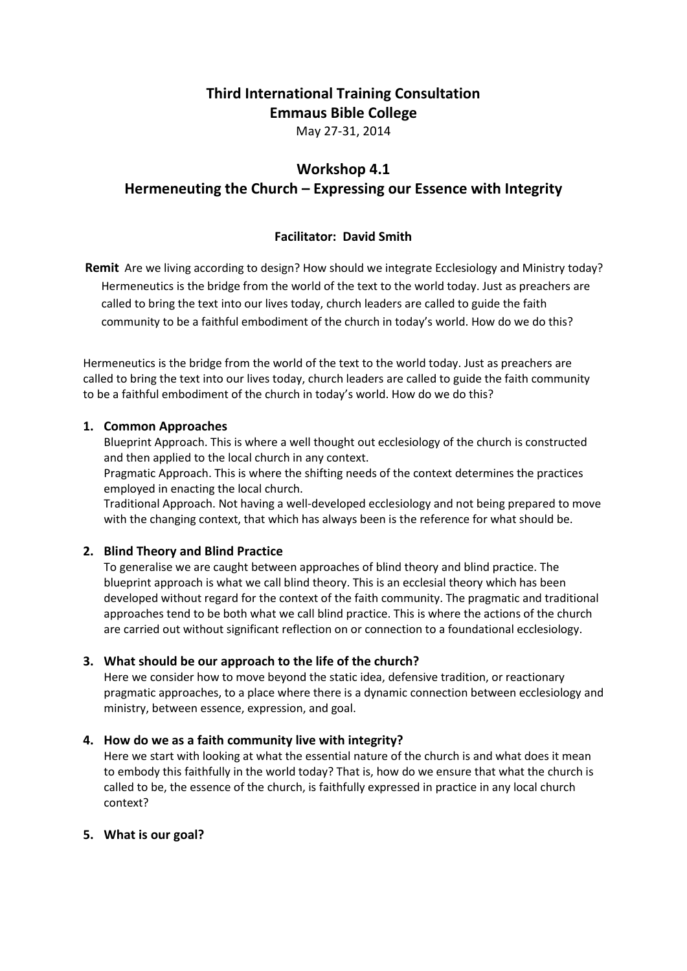# **Third International Training Consultation Emmaus Bible College**

May 27-31, 2014

# **Workshop 4.1**

**Hermeneuting the Church – Expressing our Essence with Integrity**

# **Facilitator: David Smith**

**Remit** Are we living according to design? How should we integrate Ecclesiology and Ministry today? Hermeneutics is the bridge from the world of the text to the world today. Just as preachers are called to bring the text into our lives today, church leaders are called to guide the faith community to be a faithful embodiment of the church in today's world. How do we do this?

Hermeneutics is the bridge from the world of the text to the world today. Just as preachers are called to bring the text into our lives today, church leaders are called to guide the faith community to be a faithful embodiment of the church in today's world. How do we do this?

#### **1. Common Approaches**

Blueprint Approach. This is where a well thought out ecclesiology of the church is constructed and then applied to the local church in any context.

Pragmatic Approach. This is where the shifting needs of the context determines the practices employed in enacting the local church.

Traditional Approach. Not having a well-developed ecclesiology and not being prepared to move with the changing context, that which has always been is the reference for what should be.

## **2. Blind Theory and Blind Practice**

To generalise we are caught between approaches of blind theory and blind practice. The blueprint approach is what we call blind theory. This is an ecclesial theory which has been developed without regard for the context of the faith community. The pragmatic and traditional approaches tend to be both what we call blind practice. This is where the actions of the church are carried out without significant reflection on or connection to a foundational ecclesiology.

## **3. What should be our approach to the life of the church?**

Here we consider how to move beyond the static idea, defensive tradition, or reactionary pragmatic approaches, to a place where there is a dynamic connection between ecclesiology and ministry, between essence, expression, and goal.

## **4. How do we as a faith community live with integrity?**

Here we start with looking at what the essential nature of the church is and what does it mean to embody this faithfully in the world today? That is, how do we ensure that what the church is called to be, the essence of the church, is faithfully expressed in practice in any local church context?

## **5. What is our goal?**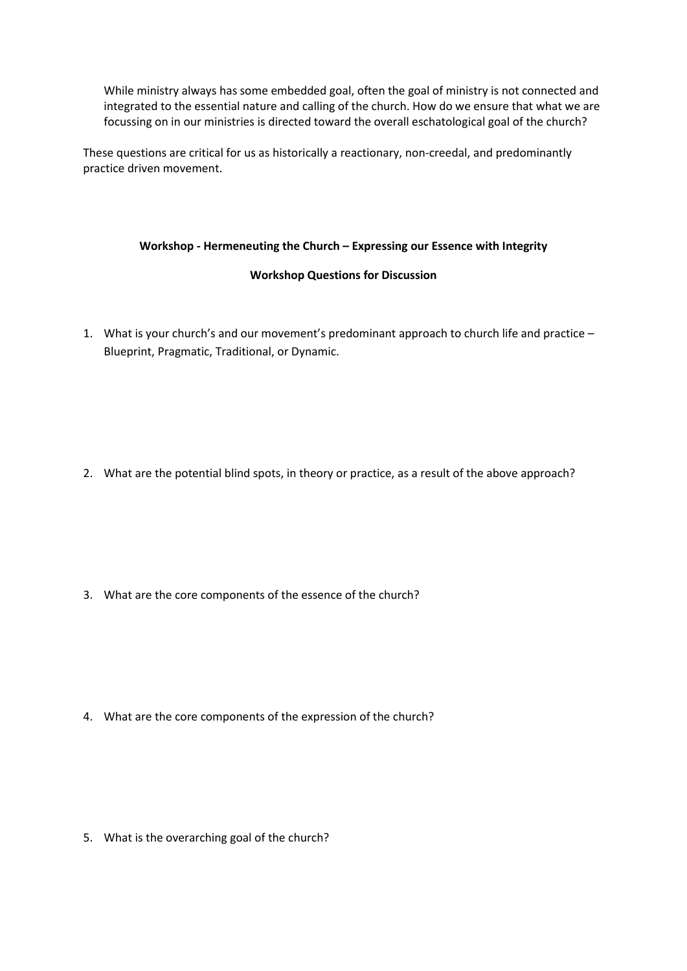While ministry always has some embedded goal, often the goal of ministry is not connected and integrated to the essential nature and calling of the church. How do we ensure that what we are focussing on in our ministries is directed toward the overall eschatological goal of the church?

These questions are critical for us as historically a reactionary, non-creedal, and predominantly practice driven movement.

#### **Workshop - Hermeneuting the Church – Expressing our Essence with Integrity**

#### **Workshop Questions for Discussion**

1. What is your church's and our movement's predominant approach to church life and practice – Blueprint, Pragmatic, Traditional, or Dynamic.

2. What are the potential blind spots, in theory or practice, as a result of the above approach?

3. What are the core components of the essence of the church?

4. What are the core components of the expression of the church?

5. What is the overarching goal of the church?